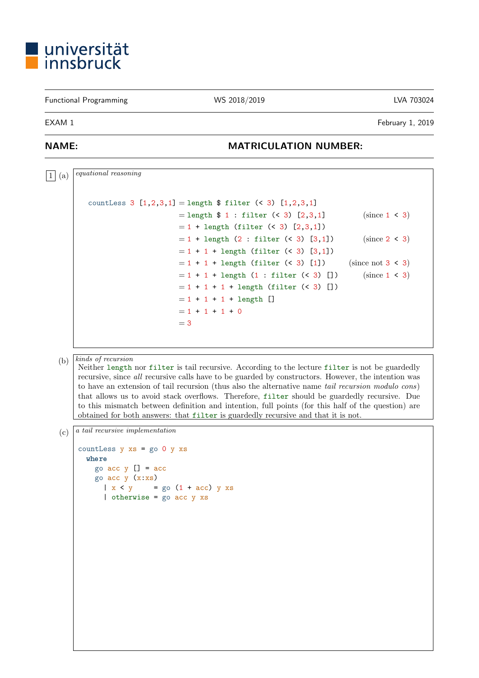## universität

## Functional Programming WS 2018/2019 LVA 703024

EXAM 1 February 1, 2019

## NAME: NAME: MATRICULATION NUMBER:

| equational reasoning<br>1 (a)        |                                                                                                                                                                                                                                                                                                                                                                                                                                                                                                                      |
|--------------------------------------|----------------------------------------------------------------------------------------------------------------------------------------------------------------------------------------------------------------------------------------------------------------------------------------------------------------------------------------------------------------------------------------------------------------------------------------------------------------------------------------------------------------------|
|                                      |                                                                                                                                                                                                                                                                                                                                                                                                                                                                                                                      |
|                                      | countLess 3 $[1,2,3,1] =$ length \$ filter (< 3) $[1,2,3,1]$                                                                                                                                                                                                                                                                                                                                                                                                                                                         |
|                                      | $=$ length \$ 1 : filter (< 3) [2,3,1]<br>(since 1 < 3)                                                                                                                                                                                                                                                                                                                                                                                                                                                              |
|                                      | $= 1 + length (filter (< 3) [2,3,1])$                                                                                                                                                                                                                                                                                                                                                                                                                                                                                |
|                                      | $= 1 + length (2 : filter (< 3) [3,1])$<br>(since 2 < 3)                                                                                                                                                                                                                                                                                                                                                                                                                                                             |
|                                      | $= 1 + 1 + \text{length (filter } (< 3)$ [3,1])                                                                                                                                                                                                                                                                                                                                                                                                                                                                      |
|                                      | $= 1 + 1 + \text{length}$ (filter (< 3) [1])<br>(since not $3 < 3$ )                                                                                                                                                                                                                                                                                                                                                                                                                                                 |
|                                      | $= 1 + 1 + \text{length} (1 : \text{filter} (< 3)$ [])<br>(since 1 < 3)                                                                                                                                                                                                                                                                                                                                                                                                                                              |
|                                      | $= 1 + 1 + 1 +$ length (filter (< 3) [])                                                                                                                                                                                                                                                                                                                                                                                                                                                                             |
|                                      | $= 1 + 1 + 1 + length$                                                                                                                                                                                                                                                                                                                                                                                                                                                                                               |
|                                      | $= 1 + 1 + 1 + 0$                                                                                                                                                                                                                                                                                                                                                                                                                                                                                                    |
|                                      | $=$ 3                                                                                                                                                                                                                                                                                                                                                                                                                                                                                                                |
|                                      |                                                                                                                                                                                                                                                                                                                                                                                                                                                                                                                      |
|                                      |                                                                                                                                                                                                                                                                                                                                                                                                                                                                                                                      |
| kinds of recursion                   | Neither length nor filter is tail recursive. According to the lecture filter is not be guardedly<br>recursive, since all recursive calls have to be guarded by constructors. However, the intention was<br>to have an extension of tail recursion (thus also the alternative name tail recursion modulo cons)<br>that allows us to avoid stack overflows. Therefore, filter should be guardedly recursive. Due<br>to this mismatch between definition and intention, full points (for this half of the question) are |
|                                      | obtained for both answers: that filter is guardedly recursive and that it is not.                                                                                                                                                                                                                                                                                                                                                                                                                                    |
| a tail recursive implementation      |                                                                                                                                                                                                                                                                                                                                                                                                                                                                                                                      |
| countLess $y$ $xs$ = $go$ 0 $y$ $xs$ |                                                                                                                                                                                                                                                                                                                                                                                                                                                                                                                      |
| where                                |                                                                                                                                                                                                                                                                                                                                                                                                                                                                                                                      |
| go $\text{acc } y$ $[] = \text{acc}$ |                                                                                                                                                                                                                                                                                                                                                                                                                                                                                                                      |
| go acc y (x:xs)                      |                                                                                                                                                                                                                                                                                                                                                                                                                                                                                                                      |
|                                      | $\vert x \vert < y$ = go (1 + acc) y xs                                                                                                                                                                                                                                                                                                                                                                                                                                                                              |
|                                      | $\vert$ otherwise = go acc y xs                                                                                                                                                                                                                                                                                                                                                                                                                                                                                      |
|                                      |                                                                                                                                                                                                                                                                                                                                                                                                                                                                                                                      |
|                                      |                                                                                                                                                                                                                                                                                                                                                                                                                                                                                                                      |
|                                      |                                                                                                                                                                                                                                                                                                                                                                                                                                                                                                                      |
| (b)<br>(c)                           |                                                                                                                                                                                                                                                                                                                                                                                                                                                                                                                      |
|                                      |                                                                                                                                                                                                                                                                                                                                                                                                                                                                                                                      |
|                                      |                                                                                                                                                                                                                                                                                                                                                                                                                                                                                                                      |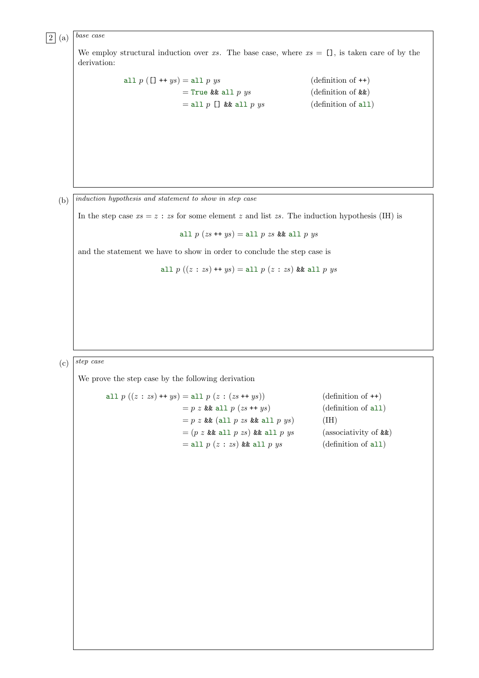$\boxed{2}$  (a) *base case* 

We employ structural induction over xs. The base case, where  $xs = [$ ], is taken care of by the derivation:

\n
$$
\text{all } p \left( \left[ \right] + y \right) = \text{all } p \text{ y} \text{ s}
$$
\n  
\n $= \text{True } \& \text{all } p \text{ y} \text{ s}$ \n  
\n $= \text{all } p \left[ \right] \& \text{all } p \text{ y} \text{ s}$ \n  
\n $= \text{all } p \left[ \right] \& \text{all } p \text{ y} \text{ s}$ \n  
\n $= \text{all } p \left[ \right] \& \text{all } p \text{ y} \text{ s}$ \n  
\n $= \text{all } p \left[ \left( \text{all } p \right) \right] \& \text{all } p \text{ y} \text{ s}$ \n  
\n $= \text{all } p \left[ \text{all } p \text{ y} \right]$ \n  
\n $= \text{all } p \left[ \text{all } p \text{ y} \right]$ \n  
\n $= \text{all } p \left[ \text{all } p \text{ y} \right]$ \n  
\n $= \text{all } p \left[ \text{all } p \text{ y} \right]$ \n  
\n $= \text{all } p \left[ \text{all } p \text{ y} \right]$ \n  
\n $= \text{all } p \left[ \text{all } p \text{ y} \right]$ \n  
\n $= \text{all } p \left[ \text{all } p \text{ y} \right]$ \n  
\n $= \text{all } p \left[ \text{all } p \text{ y} \right]$ \n  
\n $= \text{all } p \left[ \text{all } p \text{ y} \right]$ \n  
\n $= \text{all } p \left[ \text{all } p \text{ y} \right]$ \n  
\n $= \text{all } p \left[ \text{all } p \text{ y} \right]$ \n  
\n $= \text{all } p \left[ \text{all } p \text{ y} \right]$ \n  
\n $= \text{all } p \left[ \text{all } p \text{ y} \right]$ \n  
\n $= \text{all } p \left[ \text{all } p \text{ y} \right]$ \n  
\n $= \text{all } p \left[ \text{all } p \text{ y} \right]$ \n  
\n $= \text{all } p \left[ \text{all } p \text{ y} \right]$ 

 $( definition of \&\&)$  $(definition of all)$ 

 $(b)$  induction hypothesis and statement to show in step case

In the step case  $xs = z : zs$  for some element z and list zs. The induction hypothesis (IH) is

all  $p (zs++ys) =$ all  $p zs \&$  all  $p ys$ 

and the statement we have to show in order to conclude the step case is

all  $p ((z : zs) + ys) =$ all  $p (z : zs)$  & all  $p ys$ 

 $(c)$  step case

We prove the step case by the following derivation

all  $p((z:zs)++ys) =$ all  $p(z:(zs++ys))$  (definition of ++)  $= p z$  && all  $p (zs++ys)$  (definition of all)  $= p z$  && (all  $p z s$  && all  $p y s$ ) (IH)  $=(p \; z \; \& \& \text{all } p \; zs) \; \& \text{all } p \; ys$  (associativity of  $\& \&$ )  $=$  all  $p(z : zs)$  && all  $p ys$  (definition of all)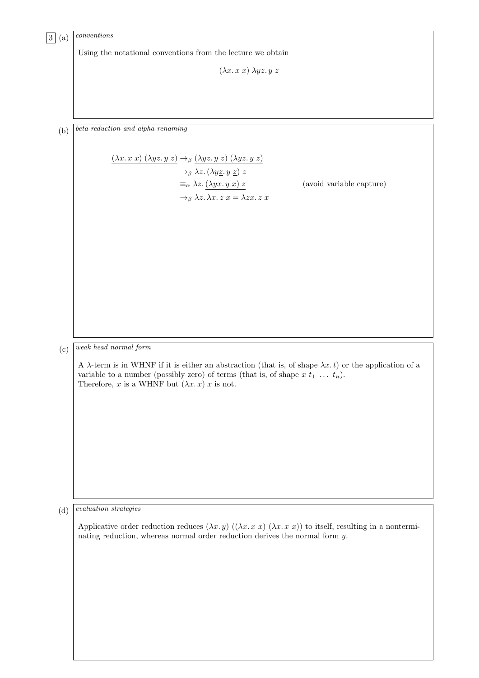|         | $\emph{conventions}$                                                                                                                                                                                           |  |  |  |  |  |
|---------|----------------------------------------------------------------------------------------------------------------------------------------------------------------------------------------------------------------|--|--|--|--|--|
| 3   (a) |                                                                                                                                                                                                                |  |  |  |  |  |
|         | Using the notational conventions from the lecture we obtain                                                                                                                                                    |  |  |  |  |  |
|         | $(\lambda x. x x) \lambda yz. y z$                                                                                                                                                                             |  |  |  |  |  |
|         |                                                                                                                                                                                                                |  |  |  |  |  |
|         |                                                                                                                                                                                                                |  |  |  |  |  |
|         |                                                                                                                                                                                                                |  |  |  |  |  |
| (b)     | $beta-reduction\ and\ alpha-renaming$                                                                                                                                                                          |  |  |  |  |  |
|         |                                                                                                                                                                                                                |  |  |  |  |  |
|         | $\label{eq:1} \underline{(\lambda x.\,x\,\,x)\,\,(\lambda yz.\,y\,\,z)} \rightarrow_{\beta} \underline{(\lambda yz.\,y\,\,z)\,\,(\lambda yz.\,y\,\,z)}$                                                        |  |  |  |  |  |
|         | $\rightarrow_{\beta} \lambda z. (\lambda y \underline{z}, y \underline{z}) z$                                                                                                                                  |  |  |  |  |  |
|         | $\equiv_{\alpha} \lambda z. (\lambda yx. y x) z$<br>(avoid variable capture)<br>$\rightarrow_{\beta} \lambda z.\lambda x. z x = \lambda z x. z x$                                                              |  |  |  |  |  |
|         |                                                                                                                                                                                                                |  |  |  |  |  |
|         |                                                                                                                                                                                                                |  |  |  |  |  |
|         |                                                                                                                                                                                                                |  |  |  |  |  |
|         |                                                                                                                                                                                                                |  |  |  |  |  |
|         |                                                                                                                                                                                                                |  |  |  |  |  |
|         |                                                                                                                                                                                                                |  |  |  |  |  |
|         |                                                                                                                                                                                                                |  |  |  |  |  |
|         |                                                                                                                                                                                                                |  |  |  |  |  |
|         |                                                                                                                                                                                                                |  |  |  |  |  |
|         |                                                                                                                                                                                                                |  |  |  |  |  |
| (c)     | weak head normal form                                                                                                                                                                                          |  |  |  |  |  |
|         | A $\lambda$ -term is in WHNF if it is either an abstraction (that is, of shape $\lambda x. t$ ) or the application of a                                                                                        |  |  |  |  |  |
|         | variable to a number (possibly zero) of terms (that is, of shape $x t_1  t_n$ ).                                                                                                                               |  |  |  |  |  |
|         | Therefore, x is a WHNF but $(\lambda x. x) x$ is not.                                                                                                                                                          |  |  |  |  |  |
|         |                                                                                                                                                                                                                |  |  |  |  |  |
|         |                                                                                                                                                                                                                |  |  |  |  |  |
|         |                                                                                                                                                                                                                |  |  |  |  |  |
|         |                                                                                                                                                                                                                |  |  |  |  |  |
|         |                                                                                                                                                                                                                |  |  |  |  |  |
|         |                                                                                                                                                                                                                |  |  |  |  |  |
|         |                                                                                                                                                                                                                |  |  |  |  |  |
| (d)     | $evaluation\ strategies$                                                                                                                                                                                       |  |  |  |  |  |
|         |                                                                                                                                                                                                                |  |  |  |  |  |
|         | Applicative order reduction reduces $(\lambda x. y) ((\lambda x. x x) (\lambda x. x x))$ to itself, resulting in a nontermi-<br>nating reduction, whereas normal order reduction derives the normal form $y$ . |  |  |  |  |  |
|         |                                                                                                                                                                                                                |  |  |  |  |  |
|         |                                                                                                                                                                                                                |  |  |  |  |  |
|         |                                                                                                                                                                                                                |  |  |  |  |  |
|         |                                                                                                                                                                                                                |  |  |  |  |  |
|         |                                                                                                                                                                                                                |  |  |  |  |  |
|         |                                                                                                                                                                                                                |  |  |  |  |  |
|         |                                                                                                                                                                                                                |  |  |  |  |  |
|         |                                                                                                                                                                                                                |  |  |  |  |  |
|         |                                                                                                                                                                                                                |  |  |  |  |  |